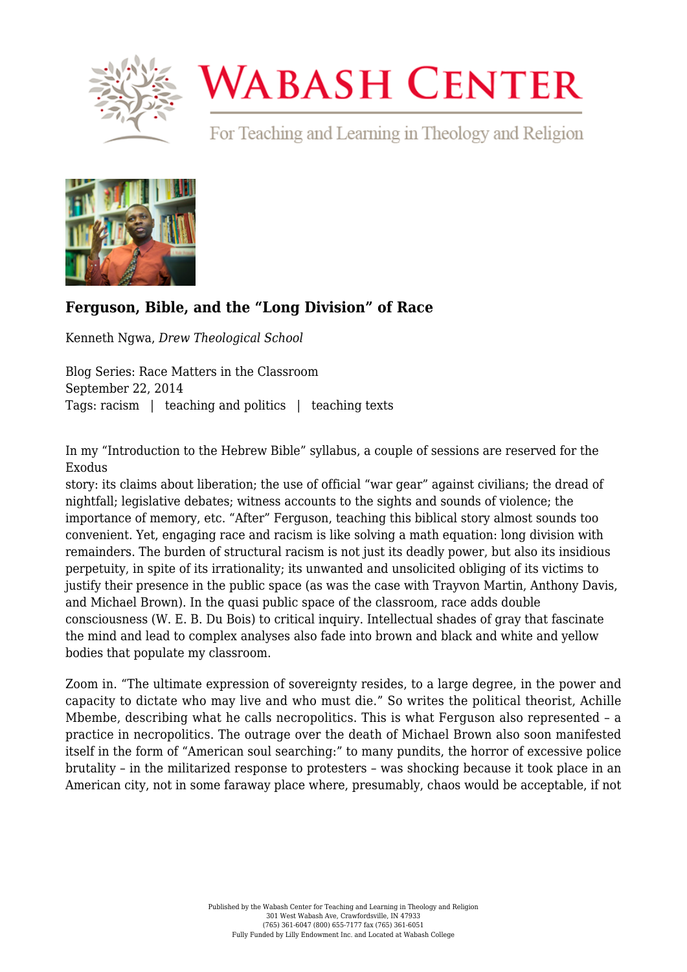

## **WABASH CENTER**

For Teaching and Learning in Theology and Religion



## **[Ferguson, Bible, and the "Long Division" of Race](https://www.wabashcenter.wabash.edu/2014/09/ferguson-bible-and-the-long-division-of-race/)**

Kenneth Ngwa, *Drew Theological School*

Blog Series: Race Matters in the Classroom September 22, 2014 Tags: racism | teaching and politics | teaching texts

In my "Introduction to the Hebrew Bible" syllabus, a couple of sessions are reserved for the Exodus

story: its claims about liberation; the use of official "war gear" against civilians; the dread of nightfall; legislative debates; witness accounts to the sights and sounds of violence; the importance of memory, etc. "After" Ferguson, teaching this biblical story almost sounds too convenient. Yet, engaging race and racism is like solving a math equation: long division with remainders. The burden of structural racism is not just its deadly power, but also its insidious perpetuity, in spite of its irrationality; its unwanted and unsolicited obliging of its victims to justify their presence in the public space (as was the case with Trayvon Martin, Anthony Davis, and Michael Brown). In the quasi public space of the classroom, race adds double consciousness (W. E. B. Du Bois) to critical inquiry. Intellectual shades of gray that fascinate the mind and lead to complex analyses also fade into brown and black and white and yellow bodies that populate my classroom.

Zoom in. "The ultimate expression of sovereignty resides, to a large degree, in the power and capacity to dictate who may live and who must die." So writes the political theorist, Achille Mbembe, describing what he calls necropolitics. This is what Ferguson also represented – a practice in necropolitics. The outrage over the death of Michael Brown also soon manifested itself in the form of "American soul searching:" to many pundits, the horror of excessive police brutality – in the militarized response to protesters – was shocking because it took place in an American city, not in some faraway place where, presumably, chaos would be acceptable, if not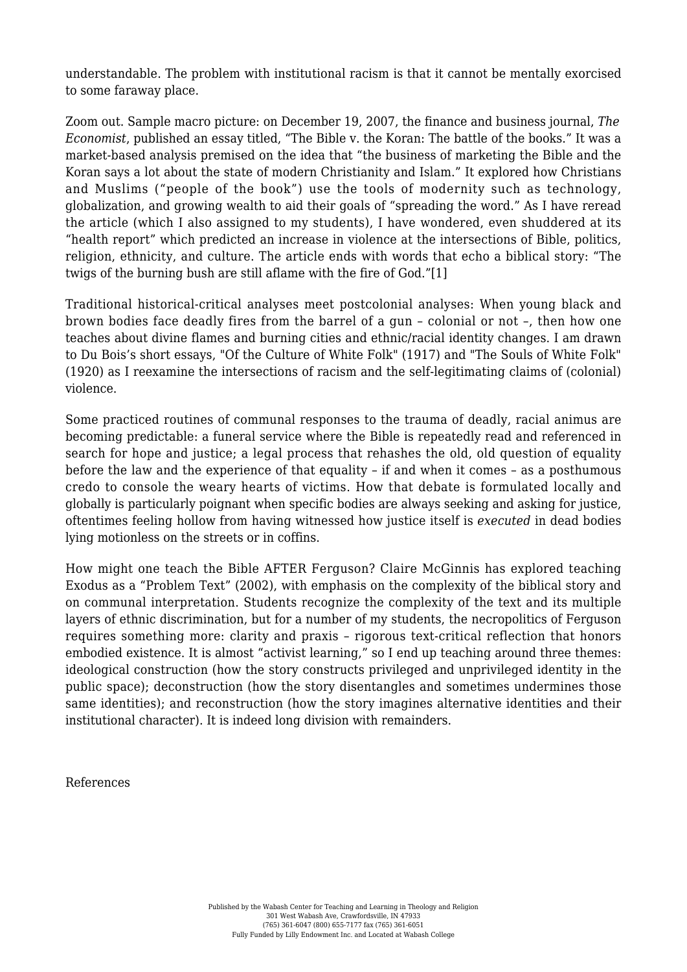understandable. The problem with institutional racism is that it cannot be mentally exorcised to some faraway place.

Zoom out. Sample macro picture: on December 19, 2007, the finance and business journal, *The Economist*, published an essay titled, "The Bible v. the Koran: The battle of the books." It was a market-based analysis premised on the idea that "the business of marketing the Bible and the Koran says a lot about the state of modern Christianity and Islam." It explored how Christians and Muslims ("people of the book") use the tools of modernity such as technology, globalization, and growing wealth to aid their goals of "spreading the word." As I have reread the article (which I also assigned to my students), I have wondered, even shuddered at its "health report" which predicted an increase in violence at the intersections of Bible, politics, religion, ethnicity, and culture. The article ends with words that echo a biblical story: "The twigs of the burning bush are still aflame with the fire of God."[\[1\]](#page-2-0)

<span id="page-1-0"></span>Traditional historical-critical analyses meet postcolonial analyses: When young black and brown bodies face deadly fires from the barrel of a gun – colonial or not –, then how one teaches about divine flames and burning cities and ethnic/racial identity changes. I am drawn to Du Bois's short essays, "Of the Culture of White Folk" (1917) and "The Souls of White Folk" (1920) as I reexamine the intersections of racism and the self-legitimating claims of (colonial) violence.

Some practiced routines of communal responses to the trauma of deadly, racial animus are becoming predictable: a funeral service where the Bible is repeatedly read and referenced in search for hope and justice; a legal process that rehashes the old, old question of equality before the law and the experience of that equality – if and when it comes – as a posthumous credo to console the weary hearts of victims. How that debate is formulated locally and globally is particularly poignant when specific bodies are always seeking and asking for justice, oftentimes feeling hollow from having witnessed how justice itself is *executed* in dead bodies lying motionless on the streets or in coffins.

How might one teach the Bible AFTER Ferguson? Claire McGinnis has explored teaching Exodus as a "Problem Text" (2002), with emphasis on the complexity of the biblical story and on communal interpretation. Students recognize the complexity of the text and its multiple layers of ethnic discrimination, but for a number of my students, the necropolitics of Ferguson requires something more: clarity and praxis – rigorous text-critical reflection that honors embodied existence. It is almost "activist learning," so I end up teaching around three themes: ideological construction (how the story constructs privileged and unprivileged identity in the public space); deconstruction (how the story disentangles and sometimes undermines those same identities); and reconstruction (how the story imagines alternative identities and their institutional character). It is indeed long division with remainders.

References